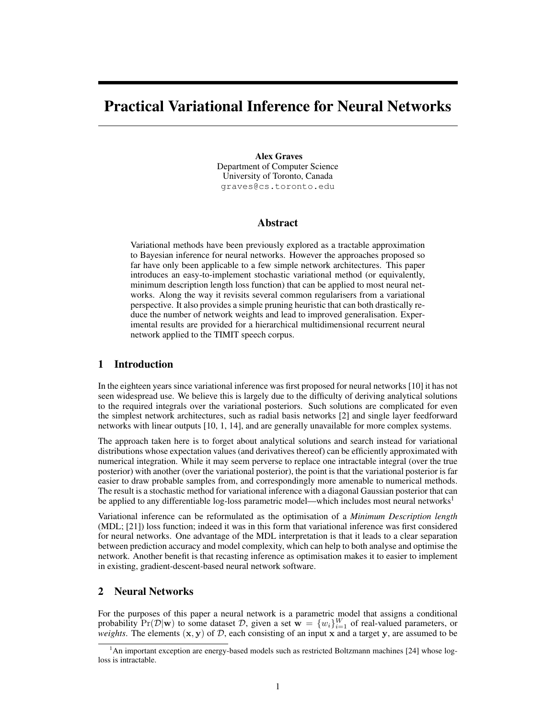# Practical Variational Inference for Neural Networks

#### Alex Graves

Department of Computer Science University of Toronto, Canada graves@cs.toronto.edu

## Abstract

Variational methods have been previously explored as a tractable approximation to Bayesian inference for neural networks. However the approaches proposed so far have only been applicable to a few simple network architectures. This paper introduces an easy-to-implement stochastic variational method (or equivalently, minimum description length loss function) that can be applied to most neural networks. Along the way it revisits several common regularisers from a variational perspective. It also provides a simple pruning heuristic that can both drastically reduce the number of network weights and lead to improved generalisation. Experimental results are provided for a hierarchical multidimensional recurrent neural network applied to the TIMIT speech corpus.

## 1 Introduction

In the eighteen years since variational inference was first proposed for neural networks [10] it has not seen widespread use. We believe this is largely due to the difficulty of deriving analytical solutions to the required integrals over the variational posteriors. Such solutions are complicated for even the simplest network architectures, such as radial basis networks [2] and single layer feedforward networks with linear outputs [10, 1, 14], and are generally unavailable for more complex systems.

The approach taken here is to forget about analytical solutions and search instead for variational distributions whose expectation values (and derivatives thereof) can be efficiently approximated with numerical integration. While it may seem perverse to replace one intractable integral (over the true posterior) with another (over the variational posterior), the point is that the variational posterior is far easier to draw probable samples from, and correspondingly more amenable to numerical methods. The result is a stochastic method for variational inference with a diagonal Gaussian posterior that can be applied to any differentiable log-loss parametric model—which includes most neural networks<sup>1</sup>

Variational inference can be reformulated as the optimisation of a *Minimum Description length* (MDL; [21]) loss function; indeed it was in this form that variational inference was first considered for neural networks. One advantage of the MDL interpretation is that it leads to a clear separation between prediction accuracy and model complexity, which can help to both analyse and optimise the network. Another benefit is that recasting inference as optimisation makes it to easier to implement in existing, gradient-descent-based neural network software.

## 2 Neural Networks

For the purposes of this paper a neural network is a parametric model that assigns a conditional probability  $Pr(\mathcal{D}|\mathbf{w})$  to some dataset  $\mathcal{D}$ , given a set  $\mathbf{w} = \{w_i\}_{i=1}^W$  of real-valued parameters, or *weights*. The elements  $(x, y)$  of  $D$ , each consisting of an input x and a target y, are assumed to be

<sup>&</sup>lt;sup>1</sup>An important exception are energy-based models such as restricted Boltzmann machines [24] whose logloss is intractable.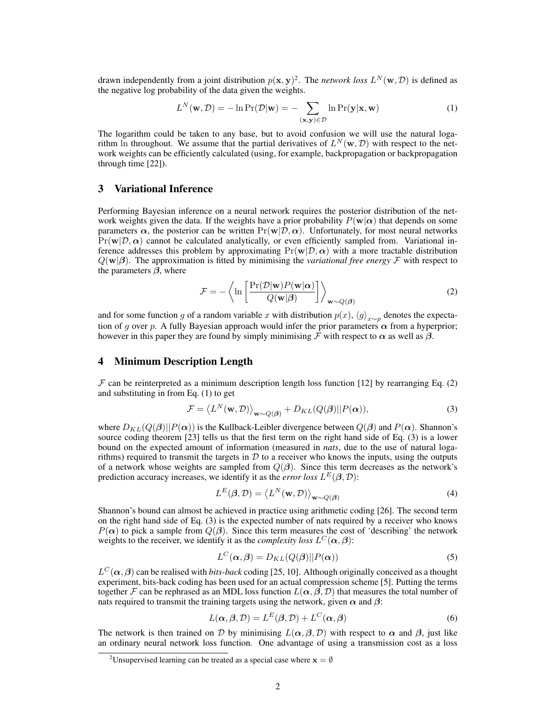drawn independently from a joint distribution  $p(x, y)^2$ . The *network loss*  $L^N(w, \mathcal{D})$  is defined as the negative log probability of the data given the weights.

$$
L^{N}(\mathbf{w}, \mathcal{D}) = -\ln \Pr(\mathcal{D}|\mathbf{w}) = -\sum_{(\mathbf{x}, \mathbf{y}) \in \mathcal{D}} \ln \Pr(\mathbf{y}|\mathbf{x}, \mathbf{w})
$$
(1)

The logarithm could be taken to any base, but to avoid confusion we will use the natural logarithm In throughout. We assume that the partial derivatives of  $L^N(\mathbf{w}, \mathcal{D})$  with respect to the network weights can be efficiently calculated (using, for example, backpropagation or backpropagation through time [22]).

## 3 Variational Inference

Performing Bayesian inference on a neural network requires the posterior distribution of the network weights given the data. If the weights have a prior probability  $P(\mathbf{w}|\alpha)$  that depends on some parameters  $\alpha$ , the posterior can be written  $Pr(\mathbf{w}|\mathcal{D}, \alpha)$ . Unfortunately, for most neural networks  $Pr(\mathbf{w}|\mathcal{D}, \alpha)$  cannot be calculated analytically, or even efficiently sampled from. Variational inference addresses this problem by approximating  $Pr(\mathbf{w}|\mathcal{D}, \alpha)$  with a more tractable distribution  $Q(\mathbf{w}|\boldsymbol{\beta})$ . The approximation is fitted by minimising the *variational free energy* F with respect to the parameters  $\beta$ , where

$$
\mathcal{F} = -\left\langle \ln \left[ \frac{\Pr(\mathcal{D}|\mathbf{w}) P(\mathbf{w}|\alpha)}{Q(\mathbf{w}|\beta)} \right] \right\rangle_{\mathbf{w} \sim Q(\beta)} \tag{2}
$$

and for some function g of a random variable x with distribution  $p(x)$ ,  $\langle g \rangle_{x \sim p}$  denotes the expectation of g over p. A fully Bayesian approach would infer the prior parameters  $\alpha$  from a hyperprior; however in this paper they are found by simply minimising  $\mathcal F$  with respect to  $\alpha$  as well as  $\beta$ .

## 4 Minimum Description Length

 $\mathcal F$  can be reinterpreted as a minimum description length loss function [12] by rearranging Eq. (2) and substituting in from Eq. (1) to get

$$
\mathcal{F} = \langle L^N(\mathbf{w}, \mathcal{D}) \rangle_{\mathbf{w} \sim Q(\boldsymbol{\beta})} + D_{KL}(Q(\boldsymbol{\beta}) || P(\boldsymbol{\alpha})), \tag{3}
$$

where  $D_{KL}(Q(\boldsymbol{\beta})||P(\boldsymbol{\alpha}))$  is the Kullback-Leibler divergence between  $Q(\boldsymbol{\beta})$  and  $P(\boldsymbol{\alpha})$ . Shannon's source coding theorem [23] tells us that the first term on the right hand side of Eq. (3) is a lower bound on the expected amount of information (measured in *nats*, due to the use of natural logarithms) required to transmit the targets in  $D$  to a receiver who knows the inputs, using the outputs of a network whose weights are sampled from  $Q(\beta)$ . Since this term decreases as the network's prediction accuracy increases, we identify it as the *error loss*  $L^{E}(\beta, \mathcal{D})$ :

$$
L^{E}(\boldsymbol{\beta}, \mathcal{D}) = \langle L^{N}(\mathbf{w}, \mathcal{D}) \rangle_{\mathbf{w} \sim Q(\boldsymbol{\beta})}
$$
(4)

Shannon's bound can almost be achieved in practice using arithmetic coding [26]. The second term on the right hand side of Eq. (3) is the expected number of nats required by a receiver who knows  $P(\alpha)$  to pick a sample from  $Q(\beta)$ . Since this term measures the cost of 'describing' the network weights to the receiver, we identify it as the *complexity loss*  $L^C(\boldsymbol{\alpha}, \boldsymbol{\beta})$ :

$$
L^{C}(\alpha, \beta) = D_{KL}(Q(\beta)||P(\alpha))
$$
\n(5)

 $L^C(\alpha, \beta)$  can be realised with *bits-back* coding [25, 10]. Although originally conceived as a thought experiment, bits-back coding has been used for an actual compression scheme [5]. Putting the terms together F can be rephrased as an MDL loss function  $L(\alpha, \beta, \mathcal{D})$  that measures the total number of nats required to transmit the training targets using the network, given  $\alpha$  and  $\beta$ :

$$
L(\alpha, \beta, \mathcal{D}) = L^{E}(\beta, \mathcal{D}) + L^{C}(\alpha, \beta)
$$
\n(6)

The network is then trained on D by minimising  $L(\alpha, \beta, \mathcal{D})$  with respect to  $\alpha$  and  $\beta$ , just like an ordinary neural network loss function. One advantage of using a transmission cost as a loss

<sup>&</sup>lt;sup>2</sup>Unsupervised learning can be treated as a special case where  $\mathbf{x} = \emptyset$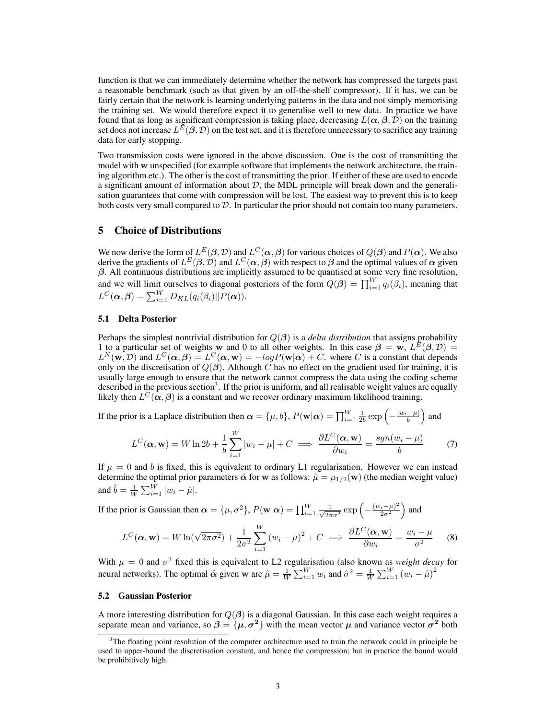function is that we can immediately determine whether the network has compressed the targets past a reasonable benchmark (such as that given by an off-the-shelf compressor). If it has, we can be fairly certain that the network is learning underlying patterns in the data and not simply memorising the training set. We would therefore expect it to generalise well to new data. In practice we have found that as long as significant compression is taking place, decreasing  $L(\alpha, \beta, D)$  on the training set does not increase  $L^E(\beta, \mathcal{D})$  on the test set, and it is therefore unnecessary to sacrifice any training data for early stopping.

Two transmission costs were ignored in the above discussion. One is the cost of transmitting the model with w unspecified (for example software that implements the network architecture, the training algorithm etc.). The other is the cost of transmitting the prior. If either of these are used to encode a significant amount of information about  $D$ , the MDL principle will break down and the generalisation guarantees that come with compression will be lost. The easiest way to prevent this is to keep both costs very small compared to  $D$ . In particular the prior should not contain too many parameters.

# 5 Choice of Distributions

We now derive the form of  $L^E(\beta,\mathcal{D})$  and  $L^C(\alpha,\beta)$  for various choices of  $Q(\beta)$  and  $P(\alpha)$ . We also derive the gradients of  $L^E(\beta, \mathcal{D})$  and  $L^C(\alpha, \beta)$  with respect to  $\beta$  and the optimal values of  $\alpha$  given  $\beta$ . All continuous distributions are implicitly assumed to be quantised at some very fine resolution, and we will limit ourselves to diagonal posteriors of the form  $Q(\beta) = \prod_{i=1}^{W} q_i(\beta_i)$ , meaning that  $L^{C}(\boldsymbol{\alpha},\boldsymbol{\beta})=\sum_{i=1}^{W}D_{KL}(q_i(\beta_i)||P(\boldsymbol{\alpha})).$ 

#### 5.1 Delta Posterior

Perhaps the simplest nontrivial distribution for  $Q(\beta)$  is a *delta distribution* that assigns probability 1 to a particular set of weights w and 0 to all other weights. In this case  $\beta = w$ ,  $L^{E}(\beta, \mathcal{D}) =$  $L^N(\mathbf{w},\mathcal{D})$  and  $L^C(\alpha,\beta)=L^C(\alpha,\mathbf{w})=-logP(\mathbf{w}|\alpha)+C$ . where C is a constant that depends only on the discretisation of  $Q(\beta)$ . Although C has no effect on the gradient used for training, it is usually large enough to ensure that the network cannot compress the data using the coding scheme described in the previous section<sup>3</sup>. If the prior is uniform, and all realisable weight values are equally likely then  $L^C(\alpha, \beta)$  is a constant and we recover ordinary maximum likelihood training.

If the prior is a Laplace distribution then  $\alpha = \{\mu, b\}$ ,  $P(\mathbf{w}|\alpha) = \prod_{i=1}^{W} \frac{1}{2b} \exp\left(-\frac{|w_i - \mu|}{b}\right)$  and

$$
L^{C}(\alpha, \mathbf{w}) = W \ln 2b + \frac{1}{b} \sum_{i=1}^{W} |w_i - \mu| + C \implies \frac{\partial L^{C}(\alpha, \mathbf{w})}{\partial w_i} = \frac{sgn(w_i - \mu)}{b}
$$
(7)

If  $\mu = 0$  and b is fixed, this is equivalent to ordinary L1 regularisation. However we can instead determine the optimal prior parameters  $\hat{\alpha}$  for w as follows:  $\hat{\mu} = \mu_{1/2}(\mathbf{w})$  (the median weight value) and  $\hat{b} = \frac{1}{W} \sum_{i=1}^{W} |w_i - \hat{\mu}|.$ 

If the prior is Gaussian then  $\alpha = \{\mu, \sigma^2\}, P(\mathbf{w}|\alpha) = \prod_{i=1}^{W} \frac{1}{\sqrt{2\pi}}$  $rac{1}{2\pi\sigma^2}$  exp  $\left(-\frac{(w_i-\mu)^2}{2\sigma^2}\right)$  $\frac{(i-\mu)^2}{2\sigma^2}$  and

$$
L^{C}(\alpha, \mathbf{w}) = W \ln(\sqrt{2\pi\sigma^2}) + \frac{1}{2\sigma^2} \sum_{i=1}^{W} (w_i - \mu)^2 + C \implies \frac{\partial L^{C}(\alpha, \mathbf{w})}{\partial w_i} = \frac{w_i - \mu}{\sigma^2}
$$
(8)

With  $\mu = 0$  and  $\sigma^2$  fixed this is equivalent to L2 regularisation (also known as *weight decay* for neural networks). The optimal  $\hat{\alpha}$  given w are  $\hat{\mu} = \frac{1}{W} \sum_{i=1}^{W} w_i$  and  $\hat{\sigma}^2 = \frac{1}{W} \sum_{i=1}^{W} (w_i - \hat{\mu})^2$ 

#### 5.2 Gaussian Posterior

A more interesting distribution for  $Q(\beta)$  is a diagonal Gaussian. In this case each weight requires a separate mean and variance, so  $\beta = {\mu, \sigma^2}$  with the mean vector  $\mu$  and variance vector  $\sigma^2$  both

 $3$ The floating point resolution of the computer architecture used to train the network could in principle be used to upper-bound the discretisation constant, and hence the compression; but in practice the bound would be prohibitively high.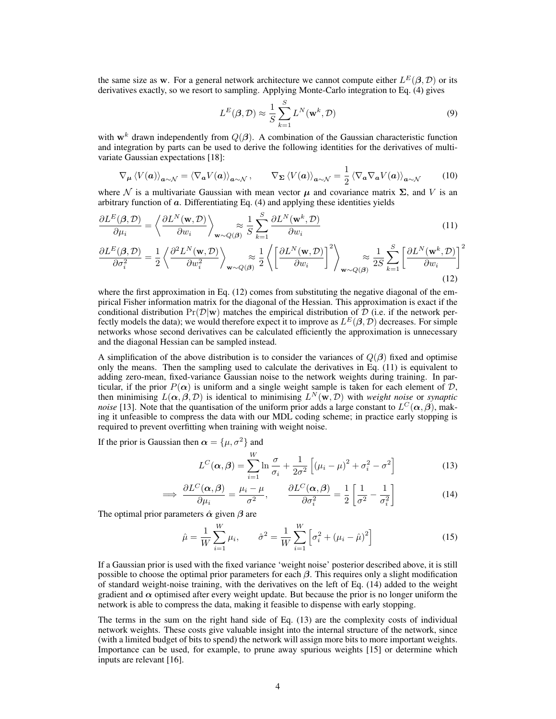the same size as w. For a general network architecture we cannot compute either  $L^{E}(\beta, \mathcal{D})$  or its derivatives exactly, so we resort to sampling. Applying Monte-Carlo integration to Eq. (4) gives

$$
L^{E}(\boldsymbol{\beta}, \mathcal{D}) \approx \frac{1}{S} \sum_{k=1}^{S} L^{N}(\mathbf{w}^{k}, \mathcal{D})
$$
\n(9)

with  $\mathbf{w}^k$  drawn independently from  $Q(\boldsymbol{\beta})$ . A combination of the Gaussian characteristic function and integration by parts can be used to derive the following identities for the derivatives of multivariate Gaussian expectations [18]:

$$
\nabla_{\mu} \left\langle V(a) \right\rangle_{a \sim \mathcal{N}} = \left\langle \nabla_{a} V(a) \right\rangle_{a \sim \mathcal{N}}, \qquad \nabla_{\Sigma} \left\langle V(a) \right\rangle_{a \sim \mathcal{N}} = \frac{1}{2} \left\langle \nabla_{a} \nabla_{a} V(a) \right\rangle_{a \sim \mathcal{N}} \tag{10}
$$

where N is a multivariate Gaussian with mean vector  $\mu$  and covariance matrix  $\Sigma$ , and V is an arbitrary function of  $\alpha$ . Differentiating Eq. (4) and applying these identities yields

$$
\frac{\partial L^{E}(\boldsymbol{\beta}, \mathcal{D})}{\partial \mu_{i}} = \left\langle \frac{\partial L^{N}(\mathbf{w}, \mathcal{D})}{\partial w_{i}} \right\rangle_{\mathbf{w} \sim Q(\boldsymbol{\beta})} \approx \frac{1}{S} \sum_{k=1}^{S} \frac{\partial L^{N}(\mathbf{w}^{k}, \mathcal{D})}{\partial w_{i}} \tag{11}
$$

$$
\frac{\partial L^{E}(\boldsymbol{\beta}, \mathcal{D})}{\partial \sigma_{i}^{2}} = \frac{1}{2} \left\langle \frac{\partial^{2} L^{N}(\mathbf{w}, \mathcal{D})}{\partial w_{i}^{2}} \right\rangle_{\mathbf{w} \sim Q(\boldsymbol{\beta})} \approx \frac{1}{2} \left\langle \left[ \frac{\partial L^{N}(\mathbf{w}, \mathcal{D})}{\partial w_{i}} \right]^{2} \right\rangle_{\mathbf{w} \sim Q(\boldsymbol{\beta})} \approx \frac{1}{2S} \sum_{k=1}^{S} \left[ \frac{\partial L^{N}(\mathbf{w}^{k}, \mathcal{D})}{\partial w_{i}} \right]^{2}
$$
\n(12)

where the first approximation in Eq.  $(12)$  comes from substituting the negative diagonal of the empirical Fisher information matrix for the diagonal of the Hessian. This approximation is exact if the conditional distribution  $Pr(\mathcal{D}|\mathbf{w})$  matches the empirical distribution of  $\mathcal{D}$  (i.e. if the network perfectly models the data); we would therefore expect it to improve as  $L^E(\beta, \mathcal{D})$  decreases. For simple networks whose second derivatives can be calculated efficiently the approximation is unnecessary and the diagonal Hessian can be sampled instead.

A simplification of the above distribution is to consider the variances of  $Q(\beta)$  fixed and optimise only the means. Then the sampling used to calculate the derivatives in Eq. (11) is equivalent to adding zero-mean, fixed-variance Gaussian noise to the network weights during training. In particular, if the prior  $P(\alpha)$  is uniform and a single weight sample is taken for each element of  $D$ , then minimising  $L(\alpha, \beta, \mathcal{D})$  is identical to minimising  $L^N(\mathbf{w}, \mathcal{D})$  with *weight noise* or *synaptic noise* [13]. Note that the quantisation of the uniform prior adds a large constant to  $L^C(\alpha, \beta)$ , making it unfeasible to compress the data with our MDL coding scheme; in practice early stopping is required to prevent overfitting when training with weight noise.

If the prior is Gaussian then  $\alpha = {\mu, \sigma^2}$  and

$$
L^{C}(\boldsymbol{\alpha},\boldsymbol{\beta})=\sum_{i=1}^{W}\ln\frac{\sigma}{\sigma_{i}}+\frac{1}{2\sigma^{2}}\left[\left(\mu_{i}-\mu\right)^{2}+\sigma_{i}^{2}-\sigma^{2}\right]
$$
(13)

$$
\implies \frac{\partial L^C(\alpha, \beta)}{\partial \mu_i} = \frac{\mu_i - \mu}{\sigma^2}, \qquad \frac{\partial L^C(\alpha, \beta)}{\partial \sigma_i^2} = \frac{1}{2} \left[ \frac{1}{\sigma^2} - \frac{1}{\sigma_i^2} \right] \tag{14}
$$

The optimal prior parameters  $\hat{\alpha}$  given  $\beta$  are

$$
\hat{\mu} = \frac{1}{W} \sum_{i=1}^{W} \mu_i, \qquad \hat{\sigma}^2 = \frac{1}{W} \sum_{i=1}^{W} \left[ \sigma_i^2 + (\mu_i - \hat{\mu})^2 \right]
$$
\n(15)

If a Gaussian prior is used with the fixed variance 'weight noise' posterior described above, it is still possible to choose the optimal prior parameters for each  $\beta$ . This requires only a slight modification of standard weight-noise training, with the derivatives on the left of Eq. (14) added to the weight gradient and  $\alpha$  optimised after every weight update. But because the prior is no longer uniform the network is able to compress the data, making it feasible to dispense with early stopping.

The terms in the sum on the right hand side of Eq. (13) are the complexity costs of individual network weights. These costs give valuable insight into the internal structure of the network, since (with a limited budget of bits to spend) the network will assign more bits to more important weights. Importance can be used, for example, to prune away spurious weights [15] or determine which inputs are relevant [16].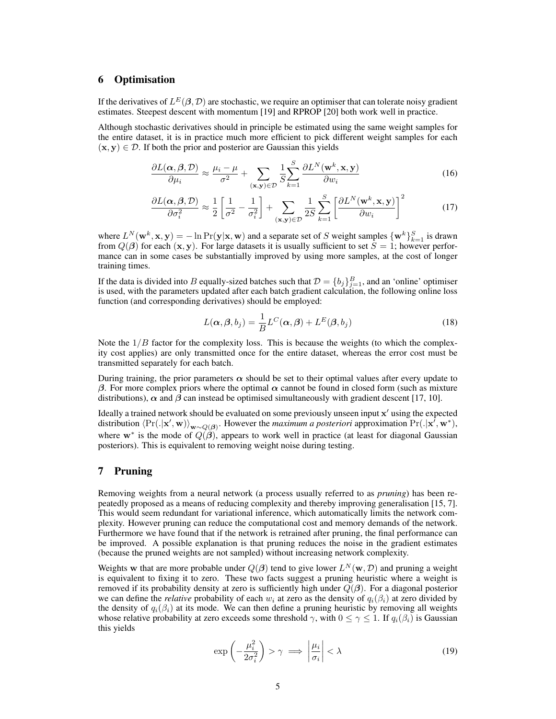# 6 Optimisation

If the derivatives of  $L^E(\beta,\mathcal{D})$  are stochastic, we require an optimiser that can tolerate noisy gradient estimates. Steepest descent with momentum [19] and RPROP [20] both work well in practice.

Although stochastic derivatives should in principle be estimated using the same weight samples for the entire dataset, it is in practice much more efficient to pick different weight samples for each  $(x, y) \in \mathcal{D}$ . If both the prior and posterior are Gaussian this yields

$$
\frac{\partial L(\alpha, \beta, \mathcal{D})}{\partial \mu_i} \approx \frac{\mu_i - \mu}{\sigma^2} + \sum_{(\mathbf{x}, \mathbf{y}) \in \mathcal{D}} \frac{1}{S} \sum_{k=1}^S \frac{\partial L^N(\mathbf{w}^k, \mathbf{x}, \mathbf{y})}{\partial w_i}
$$
(16)

$$
\frac{\partial L(\boldsymbol{\alpha}, \boldsymbol{\beta}, \mathcal{D})}{\partial \sigma_i^2} \approx \frac{1}{2} \left[ \frac{1}{\sigma^2} - \frac{1}{\sigma_i^2} \right] + \sum_{(\mathbf{x}, \mathbf{y}) \in \mathcal{D}} \frac{1}{2S} \sum_{k=1}^S \left[ \frac{\partial L^N(\mathbf{w}^k, \mathbf{x}, \mathbf{y})}{\partial w_i} \right]^2 \tag{17}
$$

where  $L^N(\mathbf{w}^k, \mathbf{x}, \mathbf{y}) = -\ln \Pr(\mathbf{y}|\mathbf{x}, \mathbf{w})$  and a separate set of S weight samples  $\{\mathbf{w}^k\}_{k=1}^S$  is drawn from  $Q(\beta)$  for each  $(x, y)$ . For large datasets it is usually sufficient to set  $S = 1$ ; however performance can in some cases be substantially improved by using more samples, at the cost of longer training times.

If the data is divided into B equally-sized batches such that  $\mathcal{D} = \{b_j\}_{j=1}^B$ , and an 'online' optimiser is used, with the parameters updated after each batch gradient calculation, the following online loss function (and corresponding derivatives) should be employed:

$$
L(\boldsymbol{\alpha}, \boldsymbol{\beta}, b_j) = \frac{1}{B} L^C(\boldsymbol{\alpha}, \boldsymbol{\beta}) + L^E(\boldsymbol{\beta}, b_j)
$$
\n(18)

Note the  $1/B$  factor for the complexity loss. This is because the weights (to which the complexity cost applies) are only transmitted once for the entire dataset, whereas the error cost must be transmitted separately for each batch.

During training, the prior parameters  $\alpha$  should be set to their optimal values after every update to β. For more complex priors where the optimal  $\alpha$  cannot be found in closed form (such as mixture distributions),  $\alpha$  and  $\beta$  can instead be optimised simultaneously with gradient descent [17, 10].

Ideally a trained network should be evaluated on some previously unseen input  $x'$  using the expected distribution  $\langle Pr(.|\mathbf{x}',\mathbf{w}) \rangle_{\mathbf{w} \sim Q(\boldsymbol{\beta})}$ . However the *maximum a posteriori* approximation  $Pr(.|\mathbf{x}',\mathbf{w}^*)$ , where  $w^*$  is the mode of  $Q(\hat{\beta})$ , appears to work well in practice (at least for diagonal Gaussian posteriors). This is equivalent to removing weight noise during testing.

# 7 Pruning

Removing weights from a neural network (a process usually referred to as *pruning*) has been repeatedly proposed as a means of reducing complexity and thereby improving generalisation [15, 7]. This would seem redundant for variational inference, which automatically limits the network complexity. However pruning can reduce the computational cost and memory demands of the network. Furthermore we have found that if the network is retrained after pruning, the final performance can be improved. A possible explanation is that pruning reduces the noise in the gradient estimates (because the pruned weights are not sampled) without increasing network complexity.

Weights w that are more probable under  $Q(\boldsymbol{\beta})$  tend to give lower  $L^N(\mathbf{w}, \mathcal{D})$  and pruning a weight is equivalent to fixing it to zero. These two facts suggest a pruning heuristic where a weight is removed if its probability density at zero is sufficiently high under  $Q(\beta)$ . For a diagonal posterior we can define the *relative* probability of each  $w_i$  at zero as the density of  $q_i(\beta_i)$  at zero divided by the density of  $q_i(\beta_i)$  at its mode. We can then define a pruning heuristic by removing all weights whose relative probability at zero exceeds some threshold  $\gamma$ , with  $0 \le \gamma \le 1$ . If  $q_i(\beta_i)$  is Gaussian this yields

$$
\exp\left(-\frac{\mu_i^2}{2\sigma_i^2}\right) > \gamma \implies \left|\frac{\mu_i}{\sigma_i}\right| < \lambda \tag{19}
$$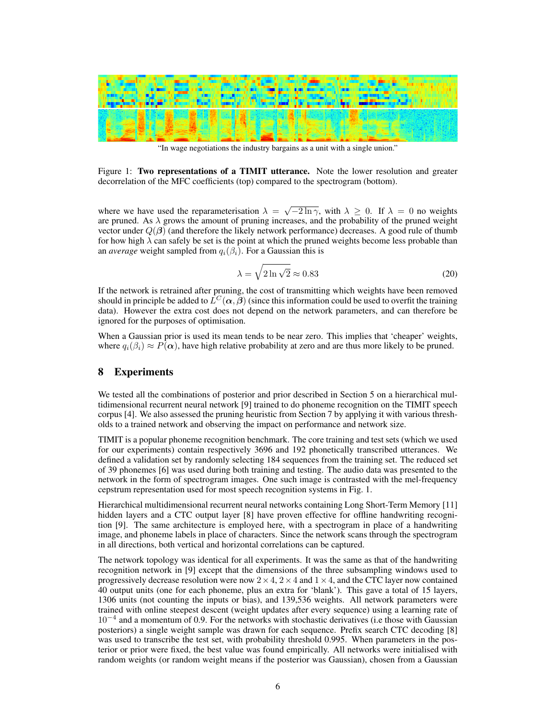

"In wage negotiations the industry bargains as a unit with a single union."

Figure 1: Two representations of a TIMIT utterance. Note the lower resolution and greater decorrelation of the MFC coefficients (top) compared to the spectrogram (bottom).

where we have used the reparameterisation  $\lambda = \sqrt{-2\ln \gamma}$ , with  $\lambda \ge 0$ . If  $\lambda = 0$  no weights are pruned. As  $\lambda$  grows the amount of pruning increases, and the probability of the pruned weight vector under  $Q(\beta)$  (and therefore the likely network performance) decreases. A good rule of thumb for how high  $\lambda$  can safely be set is the point at which the pruned weights become less probable than an *average* weight sampled from  $q_i(\beta_i)$ . For a Gaussian this is

$$
\lambda = \sqrt{2 \ln \sqrt{2}} \approx 0.83\tag{20}
$$

If the network is retrained after pruning, the cost of transmitting which weights have been removed should in principle be added to  $\hat{L}^C(\alpha, \beta)$  (since this information could be used to overfit the training data). However the extra cost does not depend on the network parameters, and can therefore be ignored for the purposes of optimisation.

When a Gaussian prior is used its mean tends to be near zero. This implies that 'cheaper' weights, where  $q_i(\beta_i) \approx P(\alpha)$ , have high relative probability at zero and are thus more likely to be pruned.

# 8 Experiments

We tested all the combinations of posterior and prior described in Section 5 on a hierarchical multidimensional recurrent neural network [9] trained to do phoneme recognition on the TIMIT speech corpus [4]. We also assessed the pruning heuristic from Section 7 by applying it with various thresholds to a trained network and observing the impact on performance and network size.

TIMIT is a popular phoneme recognition benchmark. The core training and test sets (which we used for our experiments) contain respectively 3696 and 192 phonetically transcribed utterances. We defined a validation set by randomly selecting 184 sequences from the training set. The reduced set of 39 phonemes [6] was used during both training and testing. The audio data was presented to the network in the form of spectrogram images. One such image is contrasted with the mel-frequency cepstrum representation used for most speech recognition systems in Fig. 1.

Hierarchical multidimensional recurrent neural networks containing Long Short-Term Memory [11] hidden layers and a CTC output layer [8] have proven effective for offline handwriting recognition [9]. The same architecture is employed here, with a spectrogram in place of a handwriting image, and phoneme labels in place of characters. Since the network scans through the spectrogram in all directions, both vertical and horizontal correlations can be captured.

The network topology was identical for all experiments. It was the same as that of the handwriting recognition network in [9] except that the dimensions of the three subsampling windows used to progressively decrease resolution were now  $2 \times 4$ ,  $2 \times 4$  and  $1 \times 4$ , and the CTC layer now contained 40 output units (one for each phoneme, plus an extra for 'blank'). This gave a total of 15 layers, 1306 units (not counting the inputs or bias), and 139,536 weights. All network parameters were trained with online steepest descent (weight updates after every sequence) using a learning rate of 10<sup>−</sup><sup>4</sup> and a momentum of 0.9. For the networks with stochastic derivatives (i.e those with Gaussian posteriors) a single weight sample was drawn for each sequence. Prefix search CTC decoding [8] was used to transcribe the test set, with probability threshold 0.995. When parameters in the posterior or prior were fixed, the best value was found empirically. All networks were initialised with random weights (or random weight means if the posterior was Gaussian), chosen from a Gaussian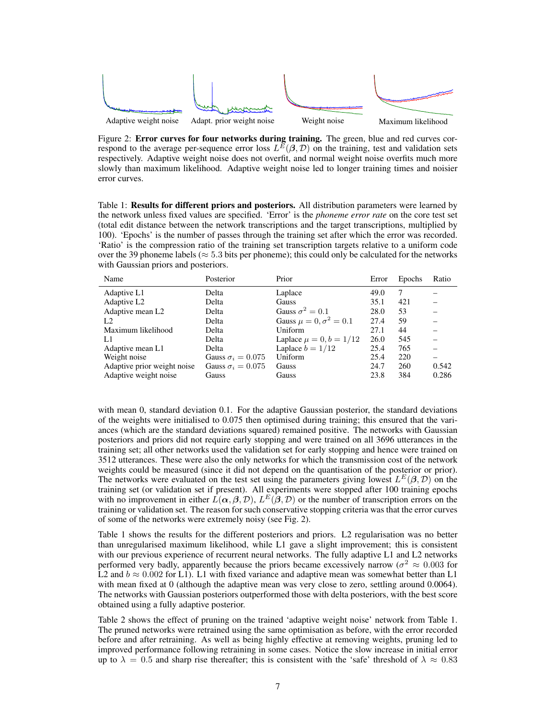

Figure 2: **Error curves for four networks during training.** The green, blue and red curves correspond to the average per-sequence error loss  $L^{\bar{E}}(\beta, \mathcal{D})$  on the training, test and validation sets respectively. Adaptive weight noise does not overfit, and normal weight noise overfits much more slowly than maximum likelihood. Adaptive weight noise led to longer training times and noisier error curves.

Table 1: Results for different priors and posteriors. All distribution parameters were learned by the network unless fixed values are specified. 'Error' is the *phoneme error rate* on the core test set (total edit distance between the network transcriptions and the target transcriptions, multiplied by 100). 'Epochs' is the number of passes through the training set after which the error was recorded. 'Ratio' is the compression ratio of the training set transcription targets relative to a uniform code over the 39 phoneme labels ( $\approx$  5.3 bits per phoneme); this could only be calculated for the networks with Gaussian priors and posteriors.

| Name                         | Posterior                | Prior                           | Error | Epochs | Ratio |
|------------------------------|--------------------------|---------------------------------|-------|--------|-------|
| Adaptive L1                  | Delta                    | Laplace                         | 49.0  | 7      |       |
| Adaptive L <sub>2</sub>      | Delta                    | Gauss                           | 35.1  | 421    |       |
| Adaptive mean L <sub>2</sub> | Delta                    | Gauss $\sigma^2 = 0.1$          | 28.0  | 53     |       |
| L <sub>2</sub>               | Delta                    | Gauss $\mu = 0, \sigma^2 = 0.1$ | 27.4  | 59     |       |
| Maximum likelihood           | Delta                    | Uniform                         | 27.1  | 44     |       |
| L1                           | Delta                    | Laplace $\mu = 0, b = 1/12$     | 26.0  | 545    |       |
| Adaptive mean L1             | Delta                    | Laplace $b = 1/12$              | 25.4  | 765    |       |
| Weight noise                 | Gauss $\sigma_i = 0.075$ | Uniform                         | 25.4  | 220    |       |
| Adaptive prior weight noise  | Gauss $\sigma_i = 0.075$ | Gauss                           | 24.7  | 260    | 0.542 |
| Adaptive weight noise        | Gauss                    | Gauss                           | 23.8  | 384    | 0.286 |

with mean 0, standard deviation 0.1. For the adaptive Gaussian posterior, the standard deviations of the weights were initialised to 0.075 then optimised during training; this ensured that the variances (which are the standard deviations squared) remained positive. The networks with Gaussian posteriors and priors did not require early stopping and were trained on all 3696 utterances in the training set; all other networks used the validation set for early stopping and hence were trained on 3512 utterances. These were also the only networks for which the transmission cost of the network weights could be measured (since it did not depend on the quantisation of the posterior or prior). The networks were evaluated on the test set using the parameters giving lowest  $L^{E}(\beta, \mathcal{D})$  on the training set (or validation set if present). All experiments were stopped after 100 training epochs with no improvement in either  $\hat{L}(\alpha,\beta,D)$ ,  $L^E(\beta,D)$  or the number of transcription errors on the training or validation set. The reason for such conservative stopping criteria was that the error curves of some of the networks were extremely noisy (see Fig. 2).

Table 1 shows the results for the different posteriors and priors. L2 regularisation was no better than unregularised maximum likelihood, while L1 gave a slight improvement; this is consistent with our previous experience of recurrent neural networks. The fully adaptive L1 and L2 networks performed very badly, apparently because the priors became excessively narrow ( $\sigma^2 \approx 0.003$  for L2 and  $b \approx 0.002$  for L1). L1 with fixed variance and adaptive mean was somewhat better than L1 with mean fixed at 0 (although the adaptive mean was very close to zero, settling around 0.0064). The networks with Gaussian posteriors outperformed those with delta posteriors, with the best score obtained using a fully adaptive posterior.

Table 2 shows the effect of pruning on the trained 'adaptive weight noise' network from Table 1. The pruned networks were retrained using the same optimisation as before, with the error recorded before and after retraining. As well as being highly effective at removing weights, pruning led to improved performance following retraining in some cases. Notice the slow increase in initial error up to  $\lambda = 0.5$  and sharp rise thereafter; this is consistent with the 'safe' threshold of  $\lambda \approx 0.83$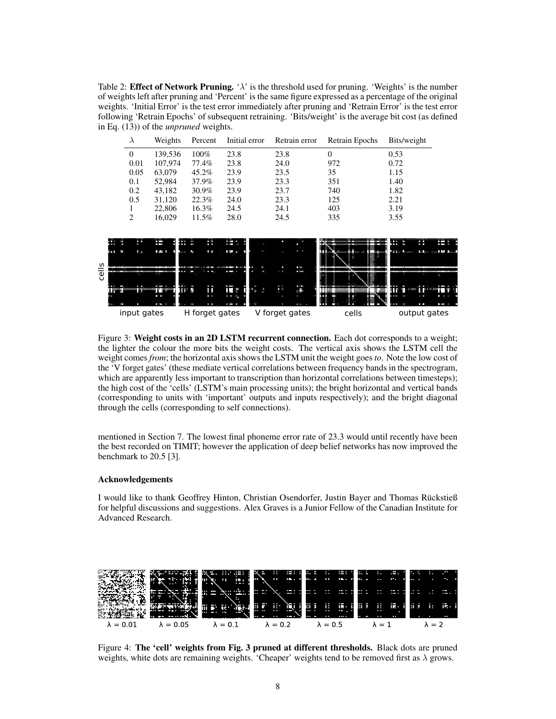Table 2: Effect of Network Pruning. ' $\lambda$ ' is the threshold used for pruning. 'Weights' is the number of weights left after pruning and 'Percent' is the same figure expressed as a percentage of the original weights. 'Initial Error' is the test error immediately after pruning and 'Retrain Error' is the test error following 'Retrain Epochs' of subsequent retraining. 'Bits/weight' is the average bit cost (as defined in Eq. (13)) of the *unpruned* weights.



Figure 3: Weight costs in an 2D LSTM recurrent connection. Each dot corresponds to a weight; the lighter the colour the more bits the weight costs. The vertical axis shows the LSTM cell the weight comes *from*; the horizontal axis shows the LSTM unit the weight goes *to*. Note the low cost of the 'V forget gates' (these mediate vertical correlations between frequency bands in the spectrogram, which are apparently less important to transcription than horizontal correlations between timesteps); the high cost of the 'cells' (LSTM's main processing units); the bright horizontal and vertical bands (corresponding to units with 'important' outputs and inputs respectively); and the bright diagonal through the cells (corresponding to self connections).

mentioned in Section 7. The lowest final phoneme error rate of 23.3 would until recently have been the best recorded on TIMIT; however the application of deep belief networks has now improved the benchmark to 20.5 [3].

#### Acknowledgements

I would like to thank Geoffrey Hinton, Christian Osendorfer, Justin Bayer and Thomas Ruckstieß ¨ for helpful discussions and suggestions. Alex Graves is a Junior Fellow of the Canadian Institute for Advanced Research.



Figure 4: The 'cell' weights from Fig. 3 pruned at different thresholds. Black dots are pruned weights, white dots are remaining weights. 'Cheaper' weights tend to be removed first as  $\lambda$  grows.